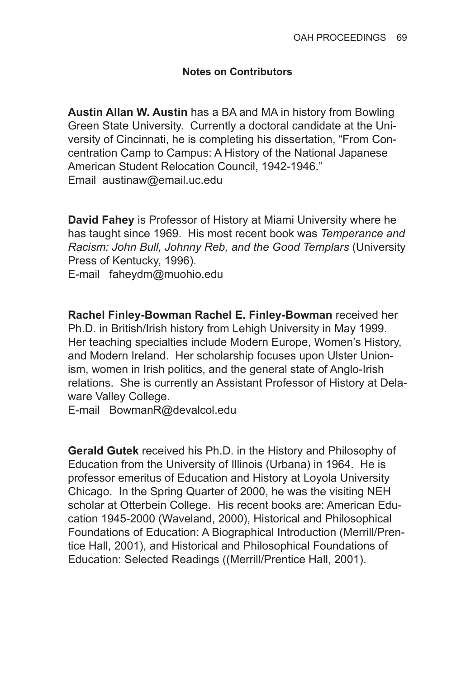## **Notes on Contributors**

**Austin Allan W. Austin** has a BA and MA in history from Bowling Green State University. Currently a doctoral candidate at the University of Cincinnati, he is completing his dissertation, "From Concentration Camp to Campus: A History of the National Japanese American Student Relocation Council, 1942-1946." Email austinaw@email.uc.edu

**David Fahey** is Professor of History at Miami University where he has taught since 1969. His most recent book was *Temperance and Racism: John Bull, Johnny Reb, and the Good Templars* (University Press of Kentucky, 1996).

E-mail faheydm@muohio.edu

**Rachel Finley-Bowman Rachel E. Finley-Bowman** received her Ph.D. in British/Irish history from Lehigh University in May 1999. Her teaching specialties include Modern Europe, Women's History, and Modern Ireland. Her scholarship focuses upon Ulster Unionism, women in Irish politics, and the general state of Anglo-Irish relations. She is currently an Assistant Professor of History at Delaware Valley College.

E-mail BowmanR@devalcol.edu

**Gerald Gutek** received his Ph.D. in the History and Philosophy of Education from the University of Illinois (Urbana) in 1964. He is professor emeritus of Education and History at Loyola University Chicago. In the Spring Quarter of 2000, he was the visiting NEH scholar at Otterbein College. His recent books are: American Education 1945-2000 (Waveland, 2000), Historical and Philosophical Foundations of Education: A Biographical Introduction (Merrill/Prentice Hall, 2001), and Historical and Philosophical Foundations of Education: Selected Readings ((Merrill/Prentice Hall, 2001).